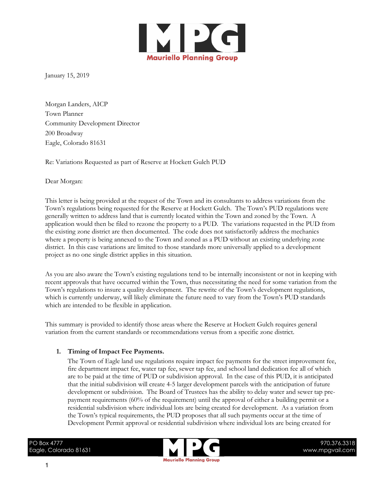

January 15, 2019

Morgan Landers, AICP Town Planner Community Development Director 200 Broadway Eagle, Colorado 81631

Re: Variations Requested as part of Reserve at Hockett Gulch PUD

Dear Morgan:

This letter is being provided at the request of the Town and its consultants to address variations from the Town's regulations being requested for the Reserve at Hockett Gulch. The Town's PUD regulations were generally written to address land that is currently located within the Town and zoned by the Town. A application would then be filed to rezone the property to a PUD. The variations requested in the PUD from the existing zone district are then documented. The code does not satisfactorily address the mechanics where a property is being annexed to the Town and zoned as a PUD without an existing underlying zone district. In this case variations are limited to those standards more universally applied to a development project as no one single district applies in this situation.

As you are also aware the Town's existing regulations tend to be internally inconsistent or not in keeping with recent approvals that have occurred within the Town, thus necessitating the need for some variation from the Town's regulations to insure a quality development. The rewrite of the Town's development regulations, which is currently underway, will likely eliminate the future need to vary from the Town's PUD standards which are intended to be flexible in application.

This summary is provided to identify those areas where the Reserve at Hockett Gulch requires general variation from the current standards or recommendations versus from a specific zone district.

# **1. Timing of Impact Fee Payments.**

The Town of Eagle land use regulations require impact fee payments for the street improvement fee, fire department impact fee, water tap fee, sewer tap fee, and school land dedication fee all of which are to be paid at the time of PUD or subdivision approval. In the case of this PUD, it is anticipated that the initial subdivision will create 4-5 larger development parcels with the anticipation of future development or subdivision. The Board of Trustees has the ability to delay water and sewer tap prepayment requirements (60% of the requirement) until the approval of either a building permit or a residential subdivision where individual lots are being created for development. As a variation from the Town's typical requirements, the PUD proposes that all such payments occur at the time of Development Permit approval or residential subdivision where individual lots are being created for

PO Box 4777 Eagle, Colorado 81631

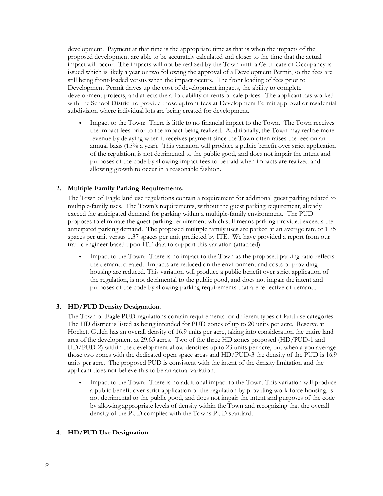development. Payment at that time is the appropriate time as that is when the impacts of the proposed development are able to be accurately calculated and closer to the time that the actual impact will occur. The impacts will not be realized by the Town until a Certificate of Occupancy is issued which is likely a year or two following the approval of a Development Permit, so the fees are still being front-loaded versus when the impact occurs. The front loading of fees prior to Development Permit drives up the cost of development impacts, the ability to complete development projects, and affects the affordability of rents or sale prices. The applicant has worked with the School District to provide those upfront fees at Development Permit approval or residential subdivision where individual lots are being created for development.

• Impact to the Town: There is little to no financial impact to the Town. The Town receives the impact fees prior to the impact being realized. Additionally, the Town may realize more revenue by delaying when it receives payment since the Town often raises the fees on an annual basis (15% a year). This variation will produce a public benefit over strict application of the regulation, is not detrimental to the public good, and does not impair the intent and purposes of the code by allowing impact fees to be paid when impacts are realized and allowing growth to occur in a reasonable fashion.

# **2. Multiple Family Parking Requirements.**

The Town of Eagle land use regulations contain a requirement for additional guest parking related to multiple-family uses. The Town's requirements, without the guest parking requirement, already exceed the anticipated demand for parking within a multiple-family environment. The PUD proposes to eliminate the guest parking requirement which still means parking provided exceeds the anticipated parking demand. The proposed multiple family uses are parked at an average rate of 1.75 spaces per unit versus 1.37 spaces per unit predicted by ITE. We have provided a report from our traffic engineer based upon ITE data to support this variation (attached).

Impact to the Town: There is no impact to the Town as the proposed parking ratio reflects the demand created. Impacts are reduced on the environment and costs of providing housing are reduced. This variation will produce a public benefit over strict application of the regulation, is not detrimental to the public good, and does not impair the intent and purposes of the code by allowing parking requirements that are reflective of demand.

# **3. HD/PUD Density Designation.**

The Town of Eagle PUD regulations contain requirements for different types of land use categories. The HD district is listed as being intended for PUD zones of up to 20 units per acre. Reserve at Hockett Gulch has an overall density of 16.9 units per acre, taking into consideration the entire land area of the development at 29.65 acres. Two of the three HD zones proposed (HD/PUD-1 and HD/PUD-2) within the development allow densities up to 23 units per acre, but when a you average those two zones with the dedicated open space areas and HD/PUD-3 the density of the PUD is 16.9 units per acre. The proposed PUD is consistent with the intent of the density limitation and the applicant does not believe this to be an actual variation.

• Impact to the Town: There is no additional impact to the Town. This variation will produce a public benefit over strict application of the regulation by providing work force housing, is not detrimental to the public good, and does not impair the intent and purposes of the code by allowing appropriate levels of density within the Town and recognizing that the overall density of the PUD complies with the Towns PUD standard.

# **4. HD/PUD Use Designation.**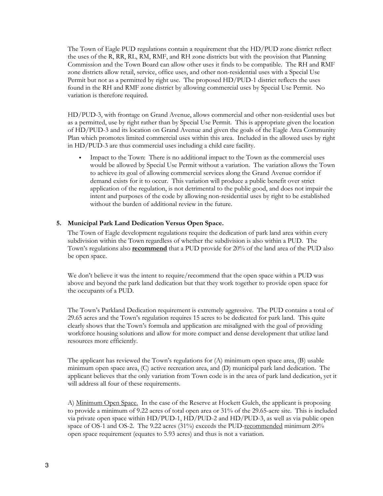The Town of Eagle PUD regulations contain a requirement that the HD/PUD zone district reflect the uses of the R, RR, RL, RM, RMF, and RH zone districts but with the provision that Planning Commission and the Town Board can allow other uses it finds to be compatible. The RH and RMF zone districts allow retail, service, office uses, and other non-residential uses with a Special Use Permit but not as a permitted by right use. The proposed HD/PUD-1 district reflects the uses found in the RH and RMF zone district by allowing commercial uses by Special Use Permit. No variation is therefore required.

HD/PUD-3, with frontage on Grand Avenue, allows commercial and other non-residential uses but as a permitted, use by right rather than by Special Use Permit. This is appropriate given the location of HD/PUD-3 and its location on Grand Avenue and given the goals of the Eagle Area Community Plan which promotes limited commercial uses within this area. Included in the allowed uses by right in HD/PUD-3 are thus commercial uses including a child care facility.

• Impact to the Town: There is no additional impact to the Town as the commercial uses would be allowed by Special Use Permit without a variation. The variation allows the Town to achieve its goal of allowing commercial services along the Grand Avenue corridor if demand exists for it to occur. This variation will produce a public benefit over strict application of the regulation, is not detrimental to the public good, and does not impair the intent and purposes of the code by allowing non-residential uses by right to be established without the burden of additional review in the future.

### **5. Municipal Park Land Dedication Versus Open Space.**

The Town of Eagle development regulations require the dedication of park land area within every subdivision within the Town regardless of whether the subdivision is also within a PUD. The Town's regulations also **recommend** that a PUD provide for 20% of the land area of the PUD also be open space.

We don't believe it was the intent to require/recommend that the open space within a PUD was above and beyond the park land dedication but that they work together to provide open space for the occupants of a PUD.

The Town's Parkland Dedication requirement is extremely aggressive. The PUD contains a total of 29.65 acres and the Town's regulation requires 15 acres to be dedicated for park land. This quite clearly shows that the Town's formula and application are misaligned with the goal of providing workforce housing solutions and allow for more compact and dense development that utilize land resources more efficiently.

The applicant has reviewed the Town's regulations for (A) minimum open space area, (B) usable minimum open space area, (C) active recreation area, and (D) municipal park land dedication. The applicant believes that the only variation from Town code is in the area of park land dedication, yet it will address all four of these requirements.

A) Minimum Open Space. In the case of the Reserve at Hockett Gulch, the applicant is proposing to provide a minimum of 9.22 acres of total open area or 31% of the 29.65-acre site. This is included via private open space within HD/PUD-1, HD/PUD-2 and HD/PUD-3, as well as via public open space of OS-1 and OS-2. The 9.22 acres (31%) exceeds the PUD-recommended minimum 20% open space requirement (equates to 5.93 acres) and thus is not a variation.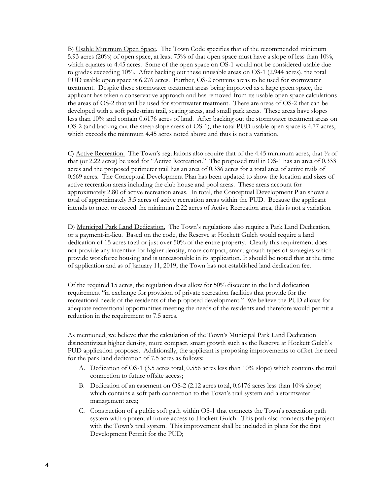B) Usable Minimum Open Space. The Town Code specifies that of the recommended minimum 5.93 acres (20%) of open space, at least 75% of that open space must have a slope of less than 10%, which equates to 4.45 acres. Some of the open space on OS-1 would not be considered usable due to grades exceeding 10%. After backing out these unusable areas on OS-1 (2.944 acres), the total PUD usable open space is 6.276 acres. Further, OS-2 contains areas to be used for stormwater treatment. Despite these stormwater treatment areas being improved as a large green space, the applicant has taken a conservative approach and has removed from its usable open space calculations the areas of OS-2 that will be used for stormwater treatment. There are areas of OS-2 that can be developed with a soft pedestrian trail, seating areas, and small park areas. These areas have slopes less than 10% and contain 0.6176 acres of land. After backing out the stormwater treatment areas on OS-2 (and backing out the steep slope areas of OS-1), the total PUD usable open space is 4.77 acres, which exceeds the minimum 4.45 acres noted above and thus is not a variation.

C) Active Recreation. The Town's regulations also require that of the 4.45 minimum acres, that  $\frac{1}{2}$  of that (or 2.22 acres) be used for "Active Recreation." The proposed trail in OS-1 has an area of 0.333 acres and the proposed perimeter trail has an area of 0.336 acres for a total area of active trails of 0.669 acres. The Conceptual Development Plan has been updated to show the location and sizes of active recreation areas including the club house and pool areas. These areas account for approximately 2.80 of active recreation areas. In total, the Conceptual Development Plan shows a total of approximately 3.5 acres of active recreation areas within the PUD. Because the applicant intends to meet or exceed the minimum 2.22 acres of Active Recreation area, this is not a variation.

D) Municipal Park Land Dedication. The Town's regulations also require a Park Land Dedication, or a payment-in-lieu. Based on the code, the Reserve at Hockett Gulch would require a land dedication of 15 acres total or just over 50% of the entire property. Clearly this requirement does not provide any incentive for higher density, more compact, smart growth types of strategies which provide workforce housing and is unreasonable in its application. It should be noted that at the time of application and as of January 11, 2019, the Town has not established land dedication fee.

Of the required 15 acres, the regulation does allow for 50% discount in the land dedication requirement "in exchange for provision of private recreation facilities that provide for the recreational needs of the residents of the proposed development." We believe the PUD allows for adequate recreational opportunities meeting the needs of the residents and therefore would permit a reduction in the requirement to 7.5 acres.

As mentioned, we believe that the calculation of the Town's Municipal Park Land Dedication disincentivizes higher density, more compact, smart growth such as the Reserve at Hockett Gulch's PUD application proposes. Additionally, the applicant is proposing improvements to offset the need for the park land dedication of 7.5 acres as follows:

- A. Dedication of OS-1 (3.5 acres total, 0.556 acres less than 10% slope) which contains the trail connection to future offsite access;
- B. Dedication of an easement on OS-2 (2.12 acres total, 0.6176 acres less than 10% slope) which contains a soft path connection to the Town's trail system and a stormwater management area;
- C. Construction of a public soft path within OS-1 that connects the Town's recreation path system with a potential future access to Hockett Gulch. This path also connects the project with the Town's trail system. This improvement shall be included in plans for the first Development Permit for the PUD;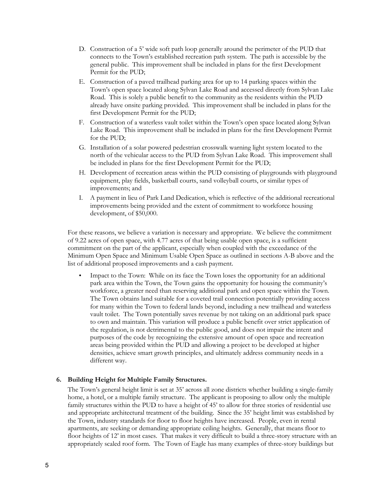- D. Construction of a 5' wide soft path loop generally around the perimeter of the PUD that connects to the Town's established recreation path system. The path is accessible by the general public. This improvement shall be included in plans for the first Development Permit for the PUD;
- E. Construction of a paved trailhead parking area for up to 14 parking spaces within the Town's open space located along Sylvan Lake Road and accessed directly from Sylvan Lake Road. This is solely a public benefit to the community as the residents within the PUD already have onsite parking provided. This improvement shall be included in plans for the first Development Permit for the PUD;
- F. Construction of a waterless vault toilet within the Town's open space located along Sylvan Lake Road. This improvement shall be included in plans for the first Development Permit for the PUD;
- G. Installation of a solar powered pedestrian crosswalk warning light system located to the north of the vehicular access to the PUD from Sylvan Lake Road. This improvement shall be included in plans for the first Development Permit for the PUD;
- H. Development of recreation areas within the PUD consisting of playgrounds with playground equipment, play fields, basketball courts, sand volleyball courts, or similar types of improvements; and
- I. A payment in lieu of Park Land Dedication, which is reflective of the additional recreational improvements being provided and the extent of commitment to workforce housing development, of \$50,000.

For these reasons, we believe a variation is necessary and appropriate. We believe the commitment of 9.22 acres of open space, with 4.77 acres of that being usable open space, is a sufficient commitment on the part of the applicant, especially when coupled with the exceedance of the Minimum Open Space and Minimum Usable Open Space as outlined in sections A-B above and the list of additional proposed improvements and a cash payment.

• Impact to the Town: While on its face the Town loses the opportunity for an additional park area within the Town, the Town gains the opportunity for housing the community's workforce, a greater need than reserving additional park and open space within the Town. The Town obtains land suitable for a coveted trail connection potentially providing access for many within the Town to federal lands beyond, including a new trailhead and waterless vault toilet. The Town potentially saves revenue by not taking on an additional park space to own and maintain. This variation will produce a public benefit over strict application of the regulation, is not detrimental to the public good, and does not impair the intent and purposes of the code by recognizing the extensive amount of open space and recreation areas being provided within the PUD and allowing a project to be developed at higher densities, achieve smart growth principles, and ultimately address community needs in a different way.

### **6. Building Height for Multiple Family Structures.**

The Town's general height limit is set at 35' across all zone districts whether building a single-family home, a hotel, or a multiple family structure. The applicant is proposing to allow only the multiple family structures within the PUD to have a height of 45' to allow for three stories of residential use and appropriate architectural treatment of the building. Since the 35' height limit was established by the Town, industry standards for floor to floor heights have increased. People, even in rental apartments, are seeking or demanding appropriate ceiling heights. Generally, that means floor to floor heights of 12' in most cases. That makes it very difficult to build a three-story structure with an appropriately scaled roof form. The Town of Eagle has many examples of three-story buildings but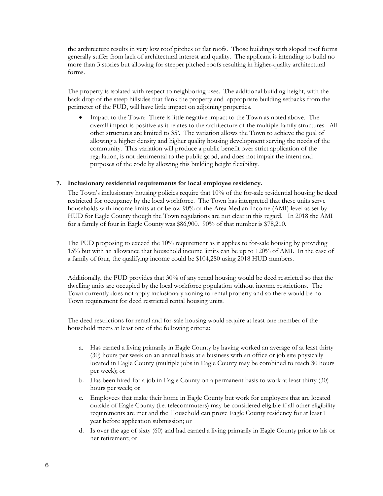the architecture results in very low roof pitches or flat roofs. Those buildings with sloped roof forms generally suffer from lack of architectural interest and quality. The applicant is intending to build no more than 3 stories but allowing for steeper pitched roofs resulting in higher-quality architectural forms.

The property is isolated with respect to neighboring uses. The additional building height, with the back drop of the steep hillsides that flank the property and appropriate building setbacks from the perimeter of the PUD, will have little impact on adjoining properties.

• Impact to the Town: There is little negative impact to the Town as noted above. The overall impact is positive as it relates to the architecture of the multiple family structures. All other structures are limited to 35'. The variation allows the Town to achieve the goal of allowing a higher density and higher quality housing development serving the needs of the community. This variation will produce a public benefit over strict application of the regulation, is not detrimental to the public good, and does not impair the intent and purposes of the code by allowing this building height flexibility.

### **7. Inclusionary residential requirements for local employee residency.**

The Town's inclusionary housing policies require that 10% of the for-sale residential housing be deed restricted for occupancy by the local workforce. The Town has interpreted that these units serve households with income limits at or below 90% of the Area Median Income (AMI) level as set by HUD for Eagle County though the Town regulations are not clear in this regard. In 2018 the AMI for a family of four in Eagle County was \$86,900. 90% of that number is \$78,210.

The PUD proposing to exceed the 10% requirement as it applies to for-sale housing by providing 15% but with an allowance that household income limits can be up to 120% of AMI. In the case of a family of four, the qualifying income could be \$104,280 using 2018 HUD numbers.

Additionally, the PUD provides that 30% of any rental housing would be deed restricted so that the dwelling units are occupied by the local workforce population without income restrictions. The Town currently does not apply inclusionary zoning to rental property and so there would be no Town requirement for deed restricted rental housing units.

The deed restrictions for rental and for-sale housing would require at least one member of the household meets at least one of the following criteria:

- a. Has earned a living primarily in Eagle County by having worked an average of at least thirty (30) hours per week on an annual basis at a business with an office or job site physically located in Eagle County (multiple jobs in Eagle County may be combined to reach 30 hours per week); or
- b. Has been hired for a job in Eagle County on a permanent basis to work at least thirty (30) hours per week; or
- c. Employees that make their home in Eagle County but work for employers that are located outside of Eagle County (i.e. telecommuters) may be considered eligible if all other eligibility requirements are met and the Household can prove Eagle County residency for at least 1 year before application submission; or
- d. Is over the age of sixty (60) and had earned a living primarily in Eagle County prior to his or her retirement; or